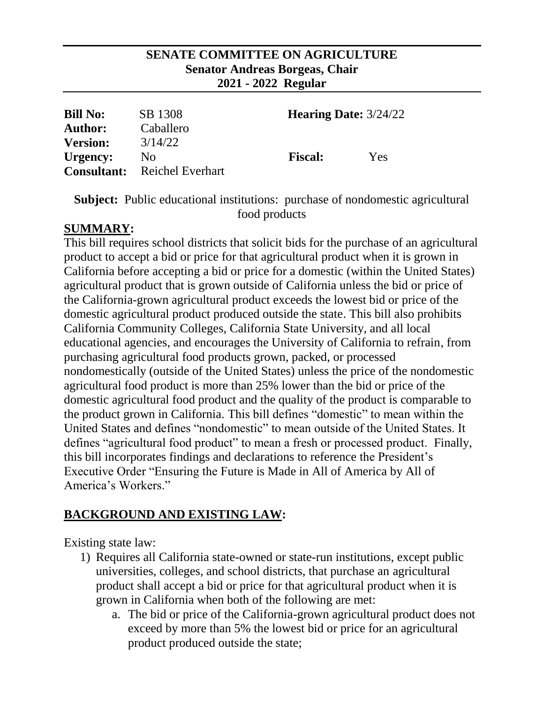#### **SENATE COMMITTEE ON AGRICULTURE Senator Andreas Borgeas, Chair 2021 - 2022 Regular**

| <b>Bill No:</b> | SB 1308                             | <b>Hearing Date:</b> $3/24/22$ |     |
|-----------------|-------------------------------------|--------------------------------|-----|
| <b>Author:</b>  | Caballero                           |                                |     |
| <b>Version:</b> | 3/14/22                             |                                |     |
| Urgency:        | No                                  | <b>Fiscal:</b>                 | Yes |
|                 | <b>Consultant:</b> Reichel Everhart |                                |     |

**Subject:** Public educational institutions: purchase of nondomestic agricultural food products

### **SUMMARY:**

This bill requires school districts that solicit bids for the purchase of an agricultural product to accept a bid or price for that agricultural product when it is grown in California before accepting a bid or price for a domestic (within the United States) agricultural product that is grown outside of California unless the bid or price of the California-grown agricultural product exceeds the lowest bid or price of the domestic agricultural product produced outside the state. This bill also prohibits California Community Colleges, California State University, and all local educational agencies, and encourages the University of California to refrain, from purchasing agricultural food products grown, packed, or processed nondomestically (outside of the United States) unless the price of the nondomestic agricultural food product is more than 25% lower than the bid or price of the domestic agricultural food product and the quality of the product is comparable to the product grown in California. This bill defines "domestic" to mean within the United States and defines "nondomestic" to mean outside of the United States. It defines "agricultural food product" to mean a fresh or processed product. Finally, this bill incorporates findings and declarations to reference the President's Executive Order "Ensuring the Future is Made in All of America by All of America's Workers."

# **BACKGROUND AND EXISTING LAW:**

Existing state law:

- 1) Requires all California state-owned or state-run institutions, except public universities, colleges, and school districts, that purchase an agricultural product shall accept a bid or price for that agricultural product when it is grown in California when both of the following are met:
	- a. The bid or price of the California-grown agricultural product does not exceed by more than 5% the lowest bid or price for an agricultural product produced outside the state;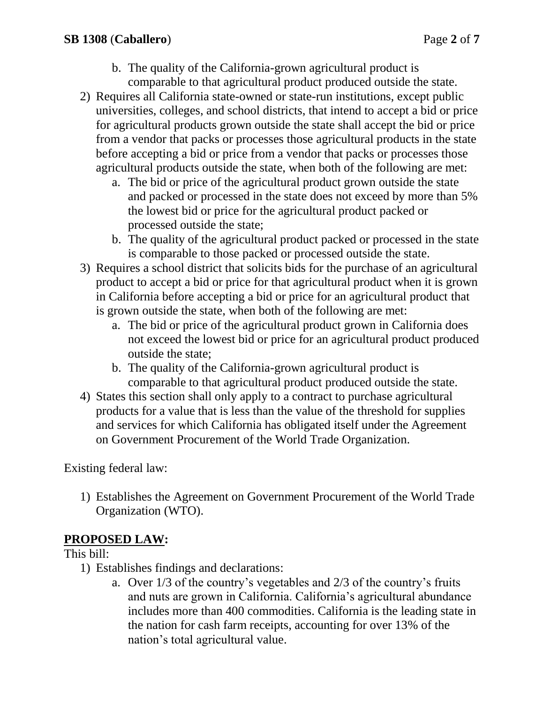- b. The quality of the California-grown agricultural product is comparable to that agricultural product produced outside the state.
- 2) Requires all California state-owned or state-run institutions, except public universities, colleges, and school districts, that intend to accept a bid or price for agricultural products grown outside the state shall accept the bid or price from a vendor that packs or processes those agricultural products in the state before accepting a bid or price from a vendor that packs or processes those agricultural products outside the state, when both of the following are met:
	- a. The bid or price of the agricultural product grown outside the state and packed or processed in the state does not exceed by more than 5% the lowest bid or price for the agricultural product packed or processed outside the state;
	- b. The quality of the agricultural product packed or processed in the state is comparable to those packed or processed outside the state.
- 3) Requires a school district that solicits bids for the purchase of an agricultural product to accept a bid or price for that agricultural product when it is grown in California before accepting a bid or price for an agricultural product that is grown outside the state, when both of the following are met:
	- a. The bid or price of the agricultural product grown in California does not exceed the lowest bid or price for an agricultural product produced outside the state;
	- b. The quality of the California-grown agricultural product is comparable to that agricultural product produced outside the state.
- 4) States this section shall only apply to a contract to purchase agricultural products for a value that is less than the value of the threshold for supplies and services for which California has obligated itself under the Agreement on Government Procurement of the World Trade Organization.

Existing federal law:

1) Establishes the Agreement on Government Procurement of the World Trade Organization (WTO).

# **PROPOSED LAW:**

### This bill:

- 1) Establishes findings and declarations:
	- a. Over 1/3 of the country's vegetables and 2/3 of the country's fruits and nuts are grown in California. California's agricultural abundance includes more than 400 commodities. California is the leading state in the nation for cash farm receipts, accounting for over 13% of the nation's total agricultural value.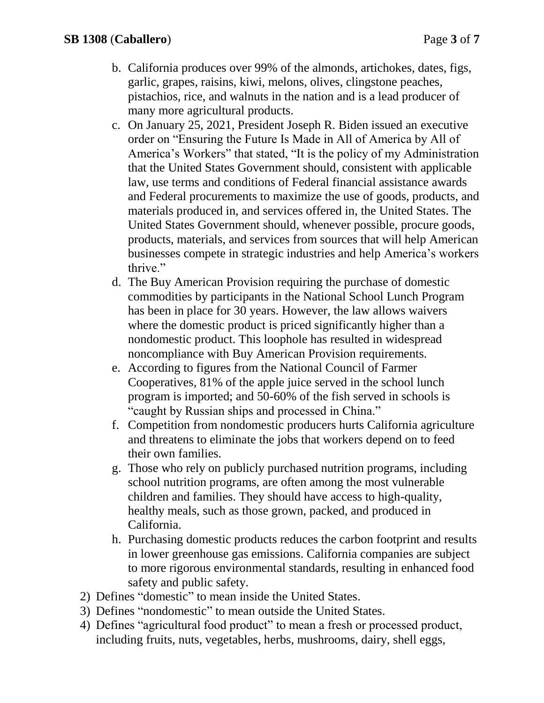- b. California produces over 99% of the almonds, artichokes, dates, figs, garlic, grapes, raisins, kiwi, melons, olives, clingstone peaches, pistachios, rice, and walnuts in the nation and is a lead producer of many more agricultural products.
- c. On January 25, 2021, President Joseph R. Biden issued an executive order on "Ensuring the Future Is Made in All of America by All of America's Workers" that stated, "It is the policy of my Administration that the United States Government should, consistent with applicable law, use terms and conditions of Federal financial assistance awards and Federal procurements to maximize the use of goods, products, and materials produced in, and services offered in, the United States. The United States Government should, whenever possible, procure goods, products, materials, and services from sources that will help American businesses compete in strategic industries and help America's workers thrive."
- d. The Buy American Provision requiring the purchase of domestic commodities by participants in the National School Lunch Program has been in place for 30 years. However, the law allows waivers where the domestic product is priced significantly higher than a nondomestic product. This loophole has resulted in widespread noncompliance with Buy American Provision requirements.
- e. According to figures from the National Council of Farmer Cooperatives, 81% of the apple juice served in the school lunch program is imported; and 50-60% of the fish served in schools is "caught by Russian ships and processed in China."
- f. Competition from nondomestic producers hurts California agriculture and threatens to eliminate the jobs that workers depend on to feed their own families.
- g. Those who rely on publicly purchased nutrition programs, including school nutrition programs, are often among the most vulnerable children and families. They should have access to high-quality, healthy meals, such as those grown, packed, and produced in California.
- h. Purchasing domestic products reduces the carbon footprint and results in lower greenhouse gas emissions. California companies are subject to more rigorous environmental standards, resulting in enhanced food safety and public safety.
- 2) Defines "domestic" to mean inside the United States.
- 3) Defines "nondomestic" to mean outside the United States.
- 4) Defines "agricultural food product" to mean a fresh or processed product, including fruits, nuts, vegetables, herbs, mushrooms, dairy, shell eggs,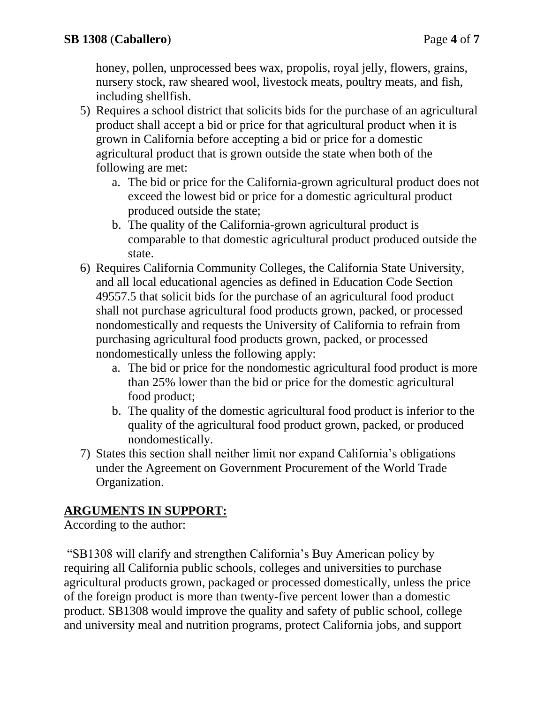honey, pollen, unprocessed bees wax, propolis, royal jelly, flowers, grains, nursery stock, raw sheared wool, livestock meats, poultry meats, and fish, including shellfish.

- 5) Requires a school district that solicits bids for the purchase of an agricultural product shall accept a bid or price for that agricultural product when it is grown in California before accepting a bid or price for a domestic agricultural product that is grown outside the state when both of the following are met:
	- a. The bid or price for the California-grown agricultural product does not exceed the lowest bid or price for a domestic agricultural product produced outside the state;
	- b. The quality of the California-grown agricultural product is comparable to that domestic agricultural product produced outside the state.
- 6) Requires California Community Colleges, the California State University, and all local educational agencies as defined in Education Code Section 49557.5 that solicit bids for the purchase of an agricultural food product shall not purchase agricultural food products grown, packed, or processed nondomestically and requests the University of California to refrain from purchasing agricultural food products grown, packed, or processed nondomestically unless the following apply:
	- a. The bid or price for the nondomestic agricultural food product is more than 25% lower than the bid or price for the domestic agricultural food product;
	- b. The quality of the domestic agricultural food product is inferior to the quality of the agricultural food product grown, packed, or produced nondomestically.
- 7) States this section shall neither limit nor expand California's obligations under the Agreement on Government Procurement of the World Trade Organization.

# **ARGUMENTS IN SUPPORT:**

According to the author:

"SB1308 will clarify and strengthen California's Buy American policy by requiring all California public schools, colleges and universities to purchase agricultural products grown, packaged or processed domestically, unless the price of the foreign product is more than twenty-five percent lower than a domestic product. SB1308 would improve the quality and safety of public school, college and university meal and nutrition programs, protect California jobs, and support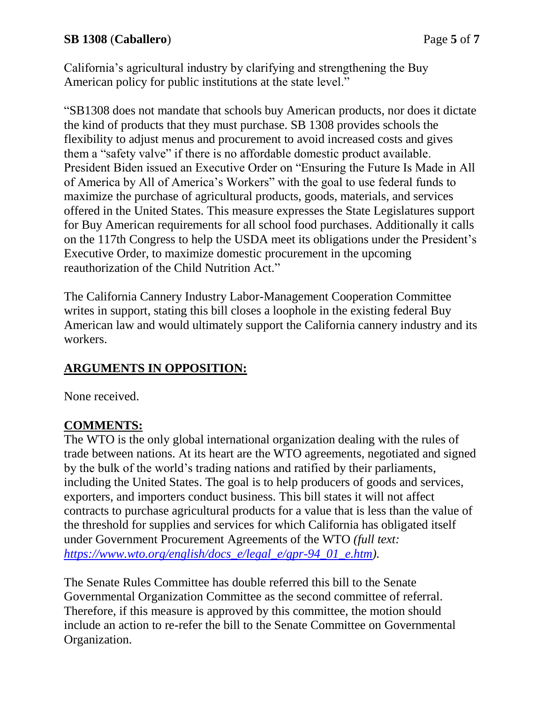California's agricultural industry by clarifying and strengthening the Buy American policy for public institutions at the state level."

"SB1308 does not mandate that schools buy American products, nor does it dictate the kind of products that they must purchase. SB 1308 provides schools the flexibility to adjust menus and procurement to avoid increased costs and gives them a "safety valve" if there is no affordable domestic product available. President Biden issued an Executive Order on "Ensuring the Future Is Made in All of America by All of America's Workers" with the goal to use federal funds to maximize the purchase of agricultural products, goods, materials, and services offered in the United States. This measure expresses the State Legislatures support for Buy American requirements for all school food purchases. Additionally it calls on the 117th Congress to help the USDA meet its obligations under the President's Executive Order, to maximize domestic procurement in the upcoming reauthorization of the Child Nutrition Act."

The California Cannery Industry Labor-Management Cooperation Committee writes in support, stating this bill closes a loophole in the existing federal Buy American law and would ultimately support the California cannery industry and its workers.

# **ARGUMENTS IN OPPOSITION:**

None received.

### **COMMENTS:**

The WTO is the only global international organization dealing with the rules of trade between nations. At its heart are the WTO agreements, negotiated and signed by the bulk of the world's trading nations and ratified by their parliaments, including the United States. The goal is to help producers of goods and services, exporters, and importers conduct business. This bill states it will not affect contracts to purchase agricultural products for a value that is less than the value of the threshold for supplies and services for which California has obligated itself under Government Procurement Agreements of the WTO *(full text: [https://www.wto.org/english/docs\\_e/legal\\_e/gpr-94\\_01\\_e.htm\)](https://www.wto.org/english/docs_e/legal_e/gpr-94_01_e.htm).*

The Senate Rules Committee has double referred this bill to the Senate Governmental Organization Committee as the second committee of referral. Therefore, if this measure is approved by this committee, the motion should include an action to re-refer the bill to the Senate Committee on Governmental Organization.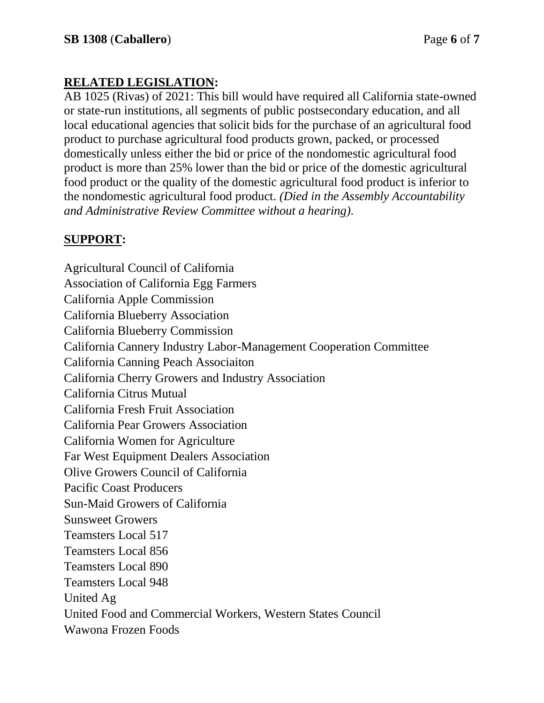# **RELATED LEGISLATION:**

AB 1025 (Rivas) of 2021: This bill would have required all California state-owned or state-run institutions, all segments of public postsecondary education, and all local educational agencies that solicit bids for the purchase of an agricultural food product to purchase agricultural food products grown, packed, or processed domestically unless either the bid or price of the nondomestic agricultural food product is more than 25% lower than the bid or price of the domestic agricultural food product or the quality of the domestic agricultural food product is inferior to the nondomestic agricultural food product. *(Died in the Assembly Accountability and Administrative Review Committee without a hearing).*

### **SUPPORT:**

Agricultural Council of California Association of California Egg Farmers California Apple Commission California Blueberry Association California Blueberry Commission California Cannery Industry Labor-Management Cooperation Committee California Canning Peach Associaiton California Cherry Growers and Industry Association California Citrus Mutual California Fresh Fruit Association California Pear Growers Association California Women for Agriculture Far West Equipment Dealers Association Olive Growers Council of California Pacific Coast Producers Sun-Maid Growers of California Sunsweet Growers Teamsters Local 517 Teamsters Local 856 Teamsters Local 890 Teamsters Local 948 United Ag United Food and Commercial Workers, Western States Council Wawona Frozen Foods